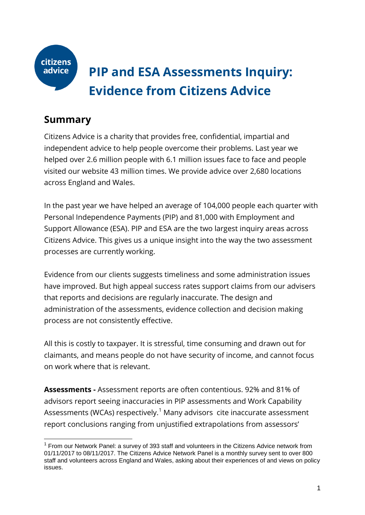

-

# **PIP and ESA Assessments Inquiry: Evidence from Citizens Advice**

# **Summary**

Citizens Advice is a charity that provides free, confidential, impartial and independent advice to help people overcome their problems. Last year we helped over 2.6 million people with 6.1 million issues face to face and people visited our website 43 million times. We provide advice over 2,680 locations across England and Wales.

In the past year we have helped an average of 104,000 people each quarter with Personal Independence Payments (PIP) and 81,000 with Employment and Support Allowance (ESA). PIP and ESA are the two largest inquiry areas across Citizens Advice. This gives us a unique insight into the way the two assessment processes are currently working.

Evidence from our clients suggests timeliness and some administration issues have improved. But high appeal success rates support claims from our advisers that reports and decisions are regularly inaccurate. The design and administration of the assessments, evidence collection and decision making process are not consistently effective.

All this is costly to taxpayer. It is stressful, time consuming and drawn out for claimants, and means people do not have security of income, and cannot focus on work where that is relevant.

**Assessments -** Assessment reports are often contentious. 92% and 81% of advisors report seeing inaccuracies in PIP assessments and Work Capability Assessments (WCAs) respectively.<sup>1</sup> Many advisors cite inaccurate assessment report conclusions ranging from unjustified extrapolations from assessors'

 $1$  From our Network Panel: a survey of 393 staff and volunteers in the Citizens Advice network from 01/11/2017 to 08/11/2017. The Citizens Advice Network Panel is a monthly survey sent to over 800 staff and volunteers across England and Wales, asking about their experiences of and views on policy issues.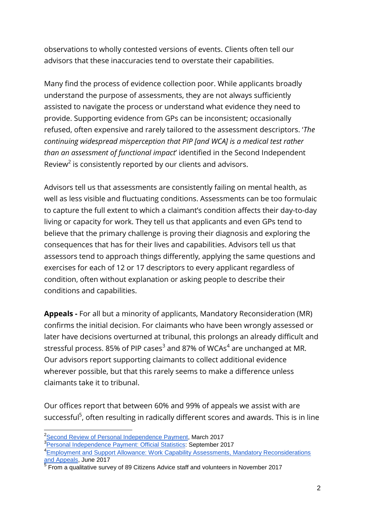observations to wholly contested versions of events. Clients often tell our advisors that these inaccuracies tend to overstate their capabilities.

Many find the process of evidence collection poor. While applicants broadly understand the purpose of assessments, they are not always sufficiently assisted to navigate the process or understand what evidence they need to provide. Supporting evidence from GPs can be inconsistent; occasionally refused, often expensive and rarely tailored to the assessment descriptors. '*The continuing widespread misperception that PIP [and WCA] is a medical test rather than an assessment of functional impact*' identified in the Second Independent Review<sup>2</sup> is consistently reported by our clients and advisors.

Advisors tell us that assessments are consistently failing on mental health, as well as less visible and fluctuating conditions. Assessments can be too formulaic to capture the full extent to which a claimant's condition affects their day-to-day living or capacity for work. They tell us that applicants and even GPs tend to believe that the primary challenge is proving their diagnosis and exploring the consequences that has for their lives and capabilities. Advisors tell us that assessors tend to approach things differently, applying the same questions and exercises for each of 12 or 17 descriptors to every applicant regardless of condition, often without explanation or asking people to describe their conditions and capabilities.

**Appeals -** For all but a minority of applicants, Mandatory Reconsideration (MR) confirms the initial decision. For claimants who have been wrongly assessed or later have decisions overturned at tribunal, this prolongs an already difficult and stressful process. 85% of PIP cases $^3$  and 87% of WCAs $^4$  are unchanged at MR. Our advisors report supporting claimants to collect additional evidence wherever possible, but that this rarely seems to make a difference unless claimants take it to tribunal.

Our offices report that between 60% and 99% of appeals we assist with are successful<sup>5</sup>, often resulting in radically different scores and awards. This is in line

-

<sup>&</sup>lt;sup>2</sup>[Second Review of Personal Independence Payment,](https://www.gov.uk/government/news/paul-gray-publishes-second-review-of-personal-independence-payment) March 2017

<sup>&</sup>lt;sup>3</sup>[Personal Independence Payment: Official Statistics:](https://www.gov.uk/government/uploads/system/uploads/attachment_data/file/643753/pip-statistics-to-july-2017.pdf) September 2017

<sup>&</sup>lt;sup>4</sup> Employment and Support Allowance: Work Capability Assessments, Mandatory Reconsiderations [and Appeals,](https://www.gov.uk/government/uploads/system/uploads/attachment_data/file/617749/esa-wca-summary-june-2017.pdf) June 2017

 $<sup>5</sup>$  From a qualitative survey of 89 Citizens Advice staff and volunteers in November 2017</sup>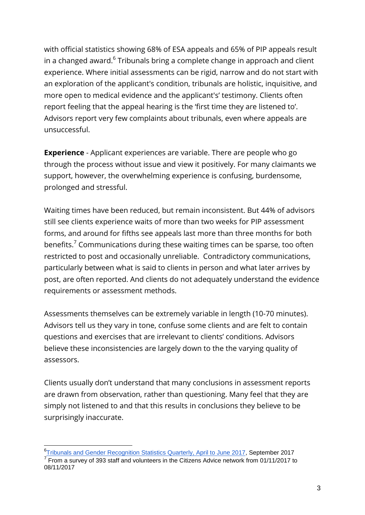with official statistics showing 68% of ESA appeals and 65% of PIP appeals result in a changed award.<sup>6</sup> Tribunals bring a complete change in approach and client experience. Where initial assessments can be rigid, narrow and do not start with an exploration of the applicant's condition, tribunals are holistic, inquisitive, and more open to medical evidence and the applicant's' testimony. Clients often report feeling that the appeal hearing is the 'first time they are listened to'. Advisors report very few complaints about tribunals, even where appeals are unsuccessful.

**Experience** - Applicant experiences are variable. There are people who go through the process without issue and view it positively. For many claimants we support, however, the overwhelming experience is confusing, burdensome, prolonged and stressful.

Waiting times have been reduced, but remain inconsistent. But 44% of advisors still see clients experience waits of more than two weeks for PIP assessment forms, and around for fifths see appeals last more than three months for both benefits.<sup>7</sup> Communications during these waiting times can be sparse, too often restricted to post and occasionally unreliable. Contradictory communications, particularly between what is said to clients in person and what later arrives by post, are often reported. And clients do not adequately understand the evidence requirements or assessment methods.

Assessments themselves can be extremely variable in length (10-70 minutes). Advisors tell us they vary in tone, confuse some clients and are felt to contain questions and exercises that are irrelevant to clients' conditions. Advisors believe these inconsistencies are largely down to the the varying quality of assessors.

Clients usually don't understand that many conclusions in assessment reports are drawn from observation, rather than questioning. Many feel that they are simply not listened to and that this results in conclusions they believe to be surprisingly inaccurate.

-

<sup>&</sup>lt;sup>6</sup>[Tribunals and Gender Recognition Statistics Quarterly, April to June 2017,](https://www.gov.uk/government/uploads/system/uploads/attachment_data/file/644443/tribunal-grc-statistics-q1-2017-18.pdf) September 2017  $7$  From a survey of 393 staff and volunteers in the Citizens Advice network from 01/11/2017 to 08/11/2017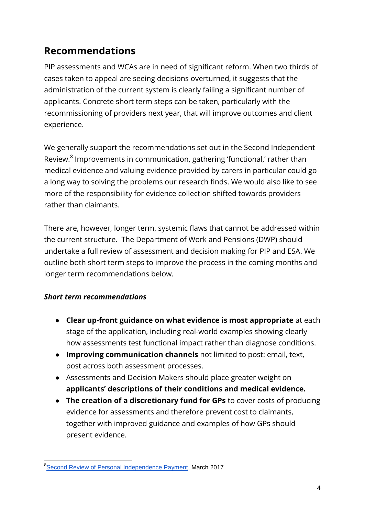# **Recommendations**

PIP assessments and WCAs are in need of significant reform. When two thirds of cases taken to appeal are seeing decisions overturned, it suggests that the administration of the current system is clearly failing a significant number of applicants. Concrete short term steps can be taken, particularly with the recommissioning of providers next year, that will improve outcomes and client experience.

We generally support the recommendations set out in the Second Independent Review.<sup>8</sup> Improvements in communication, gathering 'functional,' rather than medical evidence and valuing evidence provided by carers in particular could go a long way to solving the problems our research finds. We would also like to see more of the responsibility for evidence collection shifted towards providers rather than claimants.

There are, however, longer term, systemic flaws that cannot be addressed within the current structure. The Department of Work and Pensions (DWP) should undertake a full review of assessment and decision making for PIP and ESA. We outline both short term steps to improve the process in the coming months and longer term recommendations below.

### *Short term recommendations*

- **Clear up-front guidance on what evidence is most appropriate** at each stage of the application, including real-world examples showing clearly how assessments test functional impact rather than diagnose conditions.
- **Improving communication channels** not limited to post: email, text, post across both assessment processes.
- Assessments and Decision Makers should place greater weight on **applicants' descriptions of their conditions and medical evidence.**
- **The creation of a discretionary fund for GPs** to cover costs of producing evidence for assessments and therefore prevent cost to claimants, together with improved guidance and examples of how GPs should present evidence.

<sup>-</sup><sup>8</sup>[Second Review of Personal Independence Payment,](https://www.gov.uk/government/news/paul-gray-publishes-second-review-of-personal-independence-payment) March 2017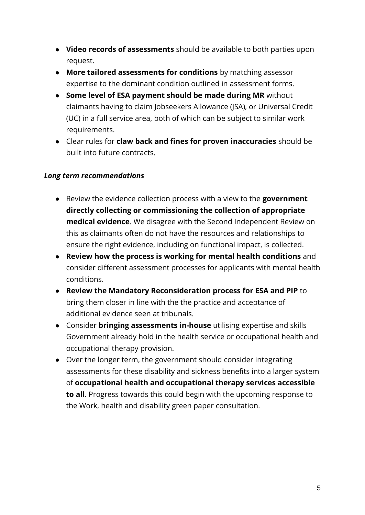- **Video records of assessments** should be available to both parties upon request.
- **More tailored assessments for conditions** by matching assessor expertise to the dominant condition outlined in assessment forms.
- **Some level of ESA payment should be made during MR** without claimants having to claim Jobseekers Allowance (JSA), or Universal Credit (UC) in a full service area, both of which can be subject to similar work requirements.
- Clear rules for **claw back and fines for proven inaccuracies** should be built into future contracts.

### *Long term recommendations*

- Review the evidence collection process with a view to the **government directly collecting or commissioning the collection of appropriate medical evidence**. We disagree with the Second Independent Review on this as claimants often do not have the resources and relationships to ensure the right evidence, including on functional impact, is collected.
- **Review how the process is working for mental health conditions** and consider different assessment processes for applicants with mental health conditions.
- **Review the Mandatory Reconsideration process for ESA and PIP** to bring them closer in line with the the practice and acceptance of additional evidence seen at tribunals.
- Consider **bringing assessments in-house** utilising expertise and skills Government already hold in the health service or occupational health and occupational therapy provision.
- Over the longer term, the government should consider integrating assessments for these disability and sickness benefits into a larger system of **occupational health and occupational therapy services accessible to all**. Progress towards this could begin with the upcoming response to the Work, health and disability green paper consultation.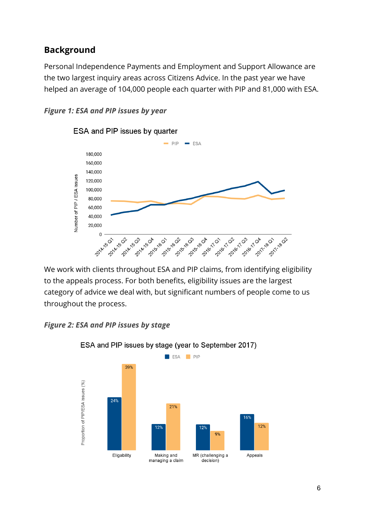### **Background**

Personal Independence Payments and Employment and Support Allowance are the two largest inquiry areas across Citizens Advice. In the past year we have helped an average of 104,000 people each quarter with PIP and 81,000 with ESA.





### ESA and PIP issues by quarter

We work with clients throughout ESA and PIP claims, from identifying eligibility to the appeals process. For both benefits, eligibility issues are the largest category of advice we deal with, but significant numbers of people come to us throughout the process.

### *Figure 2: ESA and PIP issues by stage*



ESA and PIP issues by stage (year to September 2017)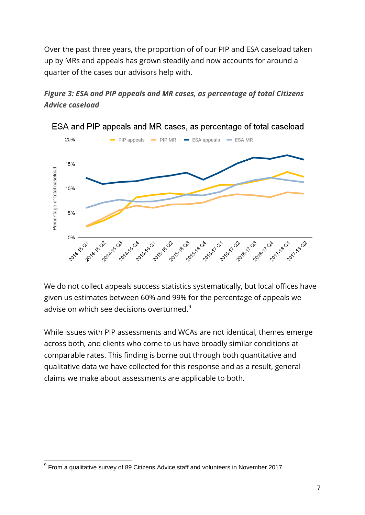Over the past three years, the proportion of of our PIP and ESA caseload taken up by MRs and appeals has grown steadily and now accounts for around a quarter of the cases our advisors help with.

### *Figure 3: ESA and PIP appeals and MR cases, as percentage of total Citizens Advice caseload*



ESA and PIP appeals and MR cases, as percentage of total caseload

We do not collect appeals success statistics systematically, but local offices have given us estimates between 60% and 99% for the percentage of appeals we advise on which see decisions overturned. $9$ 

While issues with PIP assessments and WCAs are not identical, themes emerge across both, and clients who come to us have broadly similar conditions at comparable rates. This finding is borne out through both quantitative and qualitative data we have collected for this response and as a result, general claims we make about assessments are applicable to both.

<sup>-</sup> $<sup>9</sup>$  From a qualitative survey of 89 Citizens Advice staff and volunteers in November 2017</sup>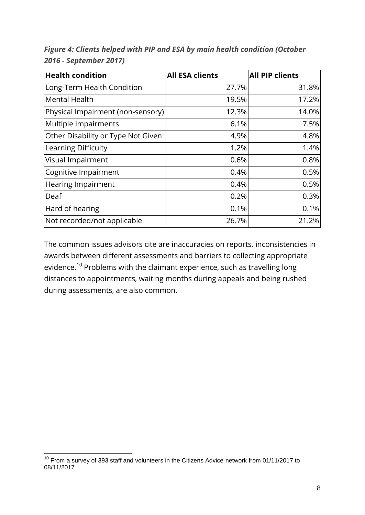| <b>Health condition</b>            | <b>All ESA clients</b> | <b>All PIP clients</b> |
|------------------------------------|------------------------|------------------------|
| Long-Term Health Condition         | 27.7%                  | 31.8%                  |
| <b>Mental Health</b>               | 19.5%                  | 17.2%                  |
| Physical Impairment (non-sensory)  | 12.3%                  | 14.0%                  |
| Multiple Impairments               | 6.1%                   | 7.5%                   |
| Other Disability or Type Not Given | 4.9%                   | 4.8%                   |
| Learning Difficulty                | 1.2%                   | 1.4%                   |
| Visual Impairment                  | 0.6%                   | 0.8%                   |
| Cognitive Impairment               | 0.4%                   | 0.5%                   |
| <b>Hearing Impairment</b>          | 0.4%                   | 0.5%                   |
| Deaf                               | 0.2%                   | 0.3%                   |
| Hard of hearing                    | 0.1%                   | 0.1%                   |
| Not recorded/not applicable        | 26.7%                  | 21.2%                  |

*Figure 4: Clients helped with PIP and ESA by main health condition (October 2016 - September 2017)*

The common issues advisors cite are inaccuracies on reports, inconsistencies in awards between different assessments and barriers to collecting appropriate evidence.<sup>10</sup> Problems with the claimant experience, such as travelling long distances to appointments, waiting months during appeals and being rushed during assessments, are also common.

-

 $10$  From a survey of 393 staff and volunteers in the Citizens Advice network from 01/11/2017 to 08/11/2017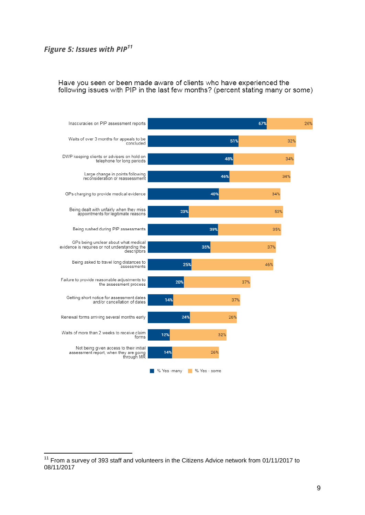### *Figure 5: Issues with PIP<sup>11</sup>*

-

#### Have you seen or been made aware of clients who have experienced the following issues with PIP in the last few months? (percent stating many or some)



 $11$  From a survey of 393 staff and volunteers in the Citizens Advice network from 01/11/2017 to 08/11/2017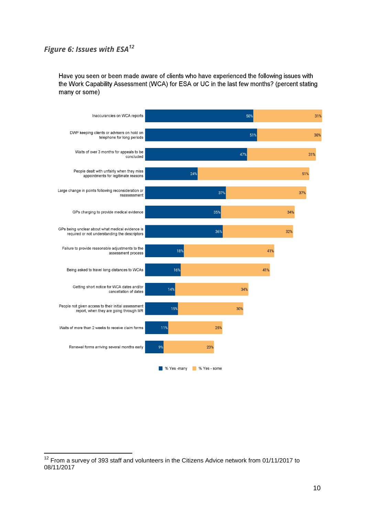### *Figure 6: Issues with ESA<sup>12</sup>*

-

Have you seen or been made aware of clients who have experienced the following issues with the Work Capability Assessment (WCA) for ESA or UC in the last few months? (percent stating many or some)



 $12$  From a survey of 393 staff and volunteers in the Citizens Advice network from 01/11/2017 to 08/11/2017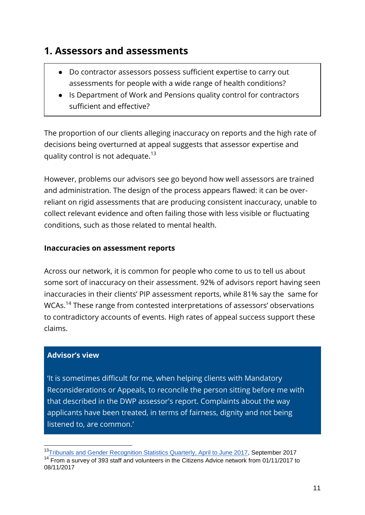## **1. Assessors and assessments**

- Do contractor assessors possess sufficient expertise to carry out assessments for people with a wide range of health conditions?
- Is Department of Work and Pensions quality control for contractors sufficient and effective?

The proportion of our clients alleging inaccuracy on reports and the high rate of decisions being overturned at appeal suggests that assessor expertise and quality control is not adequate.<sup>13</sup>

However, problems our advisors see go beyond how well assessors are trained and administration. The design of the process appears flawed: it can be overreliant on rigid assessments that are producing consistent inaccuracy, unable to collect relevant evidence and often failing those with less visible or fluctuating conditions, such as those related to mental health.

### **Inaccuracies on assessment reports**

Across our network, it is common for people who come to us to tell us about some sort of inaccuracy on their assessment. 92% of advisors report having seen inaccuracies in their clients' PIP assessment reports, while 81% say the same for WCAs.<sup>14</sup> These range from contested interpretations of assessors' observations to contradictory accounts of events. High rates of appeal success support these claims.

### **Advisor's view**

-

'It is sometimes difficult for me, when helping clients with Mandatory Reconsiderations or Appeals, to reconcile the person sitting before me with that described in the DWP assessor's report. Complaints about the way applicants have been treated, in terms of fairness, dignity and not being listened to, are common.'

<sup>&</sup>lt;sup>13</sup>[Tribunals and Gender Recognition Statistics Quarterly, April to June 2017,](https://www.gov.uk/government/uploads/system/uploads/attachment_data/file/644443/tribunal-grc-statistics-q1-2017-18.pdf) September 2017 <sup>14</sup> From a survey of 393 staff and volunteers in the Citizens Advice network from 01/11/2017 to 08/11/2017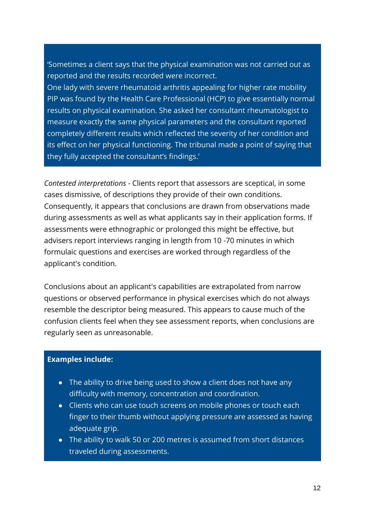'Sometimes a client says that the physical examination was not carried out as reported and the results recorded were incorrect.

One lady with severe rheumatoid arthritis appealing for higher rate mobility PIP was found by the Health Care Professional (HCP) to give essentially normal results on physical examination. She asked her consultant rheumatologist to measure exactly the same physical parameters and the consultant reported completely different results which reflected the severity of her condition and its effect on her physical functioning. The tribunal made a point of saying that they fully accepted the consultant's findings.'

*Contested interpretations -* Clients report that assessors are sceptical, in some cases dismissive, of descriptions they provide of their own conditions. Consequently, it appears that conclusions are drawn from observations made during assessments as well as what applicants say in their application forms. If assessments were ethnographic or prolonged this might be effective, but advisers report interviews ranging in length from 10 -70 minutes in which formulaic questions and exercises are worked through regardless of the applicant's condition.

Conclusions about an applicant's capabilities are extrapolated from narrow questions or observed performance in physical exercises which do not always resemble the descriptor being measured. This appears to cause much of the confusion clients feel when they see assessment reports, when conclusions are regularly seen as unreasonable.

### **Examples include:**

- The ability to drive being used to show a client does not have any difficulty with memory, concentration and coordination.
- Clients who can use touch screens on mobile phones or touch each finger to their thumb without applying pressure are assessed as having adequate grip.
- The ability to walk 50 or 200 metres is assumed from short distances traveled during assessments.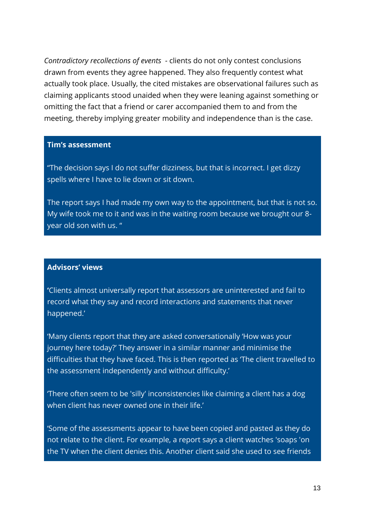*Contradictory recollections of events -* clients do not only contest conclusions drawn from events they agree happened. They also frequently contest what actually took place. Usually, the cited mistakes are observational failures such as claiming applicants stood unaided when they were leaning against something or omitting the fact that a friend or carer accompanied them to and from the meeting, thereby implying greater mobility and independence than is the case.

### **Tim's assessment**

"The decision says I do not suffer dizziness, but that is incorrect. I get dizzy spells where I have to lie down or sit down.

The report says I had made my own way to the appointment, but that is not so. My wife took me to it and was in the waiting room because we brought our 8 year old son with us. "

### **Advisors' views**

**'**Clients almost universally report that assessors are uninterested and fail to record what they say and record interactions and statements that never happened.'

'Many clients report that they are asked conversationally 'How was your journey here today?' They answer in a similar manner and minimise the difficulties that they have faced. This is then reported as 'The client travelled to the assessment independently and without difficulty.'

'There often seem to be 'silly' inconsistencies like claiming a client has a dog when client has never owned one in their life.'

'Some of the assessments appear to have been copied and pasted as they do not relate to the client. For example, a report says a client watches 'soaps 'on the TV when the client denies this. Another client said she used to see friends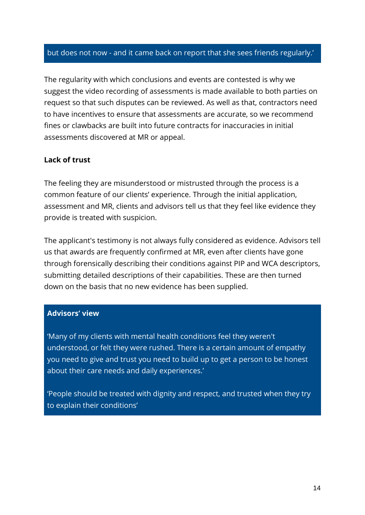### but does not now - and it came back on report that she sees friends regularly.'

The regularity with which conclusions and events are contested is why we suggest the video recording of assessments is made available to both parties on request so that such disputes can be reviewed. As well as that, contractors need to have incentives to ensure that assessments are accurate, so we recommend fines or clawbacks are built into future contracts for inaccuracies in initial assessments discovered at MR or appeal.

### **Lack of trust**

The feeling they are misunderstood or mistrusted through the process is a common feature of our clients' experience. Through the initial application, assessment and MR, clients and advisors tell us that they feel like evidence they provide is treated with suspicion.

The applicant's testimony is not always fully considered as evidence. Advisors tell us that awards are frequently confirmed at MR, even after clients have gone through forensically describing their conditions against PIP and WCA descriptors, submitting detailed descriptions of their capabilities. These are then turned down on the basis that no new evidence has been supplied.

#### **Advisors' view**

'Many of my clients with mental health conditions feel they weren't understood, or felt they were rushed. There is a certain amount of empathy you need to give and trust you need to build up to get a person to be honest about their care needs and daily experiences.'

'People should be treated with dignity and respect, and trusted when they try to explain their conditions'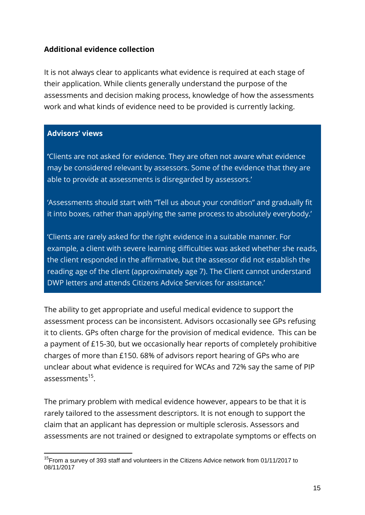### **Additional evidence collection**

It is not always clear to applicants what evidence is required at each stage of their application. While clients generally understand the purpose of the assessments and decision making process, knowledge of how the assessments work and what kinds of evidence need to be provided is currently lacking.

### **Advisors' views**

-

**'**Clients are not asked for evidence. They are often not aware what evidence may be considered relevant by assessors. Some of the evidence that they are able to provide at assessments is disregarded by assessors.'

'Assessments should start with "Tell us about your condition" and gradually fit it into boxes, rather than applying the same process to absolutely everybody.'

'Clients are rarely asked for the right evidence in a suitable manner. For example, a client with severe learning difficulties was asked whether she reads, the client responded in the affirmative, but the assessor did not establish the reading age of the client (approximately age 7). The Client cannot understand DWP letters and attends Citizens Advice Services for assistance.'

The ability to get appropriate and useful medical evidence to support the assessment process can be inconsistent. Advisors occasionally see GPs refusing it to clients. GPs often charge for the provision of medical evidence. This can be a payment of £15-30, but we occasionally hear reports of completely prohibitive charges of more than £150. 68% of advisors report hearing of GPs who are unclear about what evidence is required for WCAs and 72% say the same of PIP assessments<sup>15</sup>.

The primary problem with medical evidence however, appears to be that it is rarely tailored to the assessment descriptors. It is not enough to support the claim that an applicant has depression or multiple sclerosis. Assessors and assessments are not trained or designed to extrapolate symptoms or effects on

<sup>&</sup>lt;sup>15</sup>From a survey of 393 staff and volunteers in the Citizens Advice network from 01/11/2017 to 08/11/2017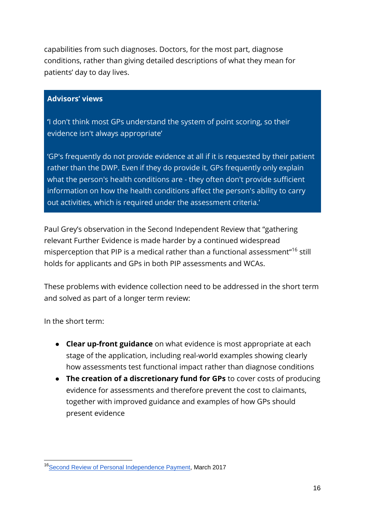capabilities from such diagnoses. Doctors, for the most part, diagnose conditions, rather than giving detailed descriptions of what they mean for patients' day to day lives.

### **Advisors' views**

**'**I don't think most GPs understand the system of point scoring, so their evidence isn't always appropriate'

'GP's frequently do not provide evidence at all if it is requested by their patient rather than the DWP. Even if they do provide it, GPs frequently only explain what the person's health conditions are - they often don't provide sufficient information on how the health conditions affect the person's ability to carry out activities, which is required under the assessment criteria.'

Paul Grey's observation in the Second Independent Review that "gathering relevant Further Evidence is made harder by a continued widespread misperception that PIP is a medical rather than a functional assessment"<sup>16</sup> still holds for applicants and GPs in both PIP assessments and WCAs.

These problems with evidence collection need to be addressed in the short term and solved as part of a longer term review:

In the short term:

-

- **Clear up-front guidance** on what evidence is most appropriate at each stage of the application, including real-world examples showing clearly how assessments test functional impact rather than diagnose conditions
- **The creation of a discretionary fund for GPs** to cover costs of producing evidence for assessments and therefore prevent the cost to claimants, together with improved guidance and examples of how GPs should present evidence

<sup>&</sup>lt;sup>16</sup>[Second Review of Personal Independence Payment,](https://www.gov.uk/government/news/paul-gray-publishes-second-review-of-personal-independence-payment) March 2017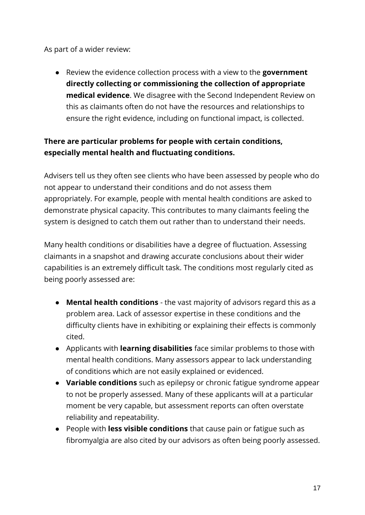As part of a wider review:

● Review the evidence collection process with a view to the **government directly collecting or commissioning the collection of appropriate medical evidence**. We disagree with the Second Independent Review on this as claimants often do not have the resources and relationships to ensure the right evidence, including on functional impact, is collected.

### **There are particular problems for people with certain conditions, especially mental health and fluctuating conditions.**

Advisers tell us they often see clients who have been assessed by people who do not appear to understand their conditions and do not assess them appropriately. For example, people with mental health conditions are asked to demonstrate physical capacity. This contributes to many claimants feeling the system is designed to catch them out rather than to understand their needs.

Many health conditions or disabilities have a degree of fluctuation. Assessing claimants in a snapshot and drawing accurate conclusions about their wider capabilities is an extremely difficult task. The conditions most regularly cited as being poorly assessed are:

- **Mental health conditions** the vast majority of advisors regard this as a problem area. Lack of assessor expertise in these conditions and the difficulty clients have in exhibiting or explaining their effects is commonly cited.
- Applicants with **learning disabilities** face similar problems to those with mental health conditions. Many assessors appear to lack understanding of conditions which are not easily explained or evidenced.
- **Variable conditions** such as epilepsy or chronic fatigue syndrome appear to not be properly assessed. Many of these applicants will at a particular moment be very capable, but assessment reports can often overstate reliability and repeatability.
- People with **less visible conditions** that cause pain or fatigue such as fibromyalgia are also cited by our advisors as often being poorly assessed.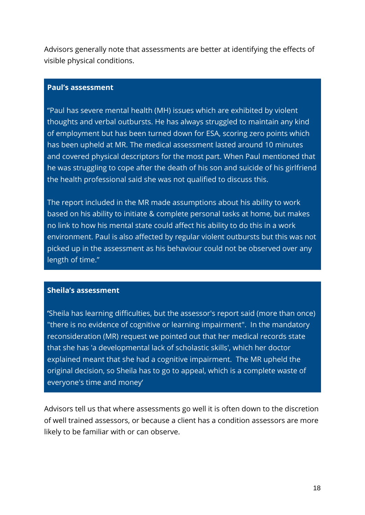Advisors generally note that assessments are better at identifying the effects of visible physical conditions.

#### **Paul's assessment**

"Paul has severe mental health (MH) issues which are exhibited by violent thoughts and verbal outbursts. He has always struggled to maintain any kind of employment but has been turned down for ESA, scoring zero points which has been upheld at MR. The medical assessment lasted around 10 minutes and covered physical descriptors for the most part. When Paul mentioned that he was struggling to cope after the death of his son and suicide of his girlfriend the health professional said she was not qualified to discuss this.

The report included in the MR made assumptions about his ability to work based on his ability to initiate & complete personal tasks at home, but makes no link to how his mental state could affect his ability to do this in a work environment. Paul is also affected by regular violent outbursts but this was not picked up in the assessment as his behaviour could not be observed over any length of time."

#### **Sheila's assessment**

**'**Sheila has learning difficulties, but the assessor's report said (more than once) "there is no evidence of cognitive or learning impairment". In the mandatory reconsideration (MR) request we pointed out that her medical records state that she has 'a developmental lack of scholastic skills', which her doctor explained meant that she had a cognitive impairment. The MR upheld the original decision, so Sheila has to go to appeal, which is a complete waste of everyone's time and money'

Advisors tell us that where assessments go well it is often down to the discretion of well trained assessors, or because a client has a condition assessors are more likely to be familiar with or can observe.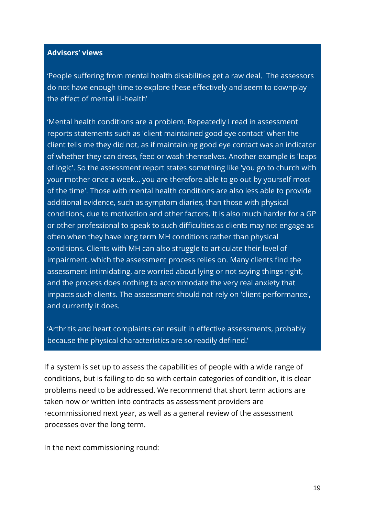### **Advisors' views**

'People suffering from mental health disabilities get a raw deal. The assessors do not have enough time to explore these effectively and seem to downplay the effect of mental ill-health'

'Mental health conditions are a problem. Repeatedly I read in assessment reports statements such as 'client maintained good eye contact' when the client tells me they did not, as if maintaining good eye contact was an indicator of whether they can dress, feed or wash themselves. Another example is 'leaps of logic'. So the assessment report states something like 'you go to church with your mother once a week... you are therefore able to go out by yourself most of the time'. Those with mental health conditions are also less able to provide additional evidence, such as symptom diaries, than those with physical conditions, due to motivation and other factors. It is also much harder for a GP or other professional to speak to such difficulties as clients may not engage as often when they have long term MH conditions rather than physical conditions. Clients with MH can also struggle to articulate their level of impairment, which the assessment process relies on. Many clients find the assessment intimidating, are worried about lying or not saying things right, and the process does nothing to accommodate the very real anxiety that impacts such clients. The assessment should not rely on 'client performance', and currently it does.

'Arthritis and heart complaints can result in effective assessments, probably because the physical characteristics are so readily defined.'

If a system is set up to assess the capabilities of people with a wide range of conditions, but is failing to do so with certain categories of condition, it is clear problems need to be addressed. We recommend that short term actions are taken now or written into contracts as assessment providers are recommissioned next year, as well as a general review of the assessment processes over the long term.

In the next commissioning round: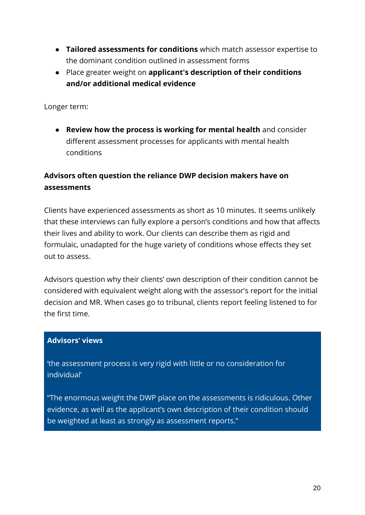- **Tailored assessments for conditions** which match assessor expertise to the dominant condition outlined in assessment forms
- Place greater weight on **applicant's description of their conditions and/or additional medical evidence**

Longer term:

● **Review how the process is working for mental health** and consider different assessment processes for applicants with mental health conditions

### **Advisors often question the reliance DWP decision makers have on assessments**

Clients have experienced assessments as short as 10 minutes. It seems unlikely that these interviews can fully explore a person's conditions and how that affects their lives and ability to work. Our clients can describe them as rigid and formulaic, unadapted for the huge variety of conditions whose effects they set out to assess.

Advisors question why their clients' own description of their condition cannot be considered with equivalent weight along with the assessor's report for the initial decision and MR. When cases go to tribunal, clients report feeling listened to for the first time.

### **Advisors' views**

'the assessment process is very rigid with little or no consideration for individual'

"The enormous weight the DWP place on the assessments is ridiculous. Other evidence, as well as the applicant's own description of their condition should be weighted at least as strongly as assessment reports."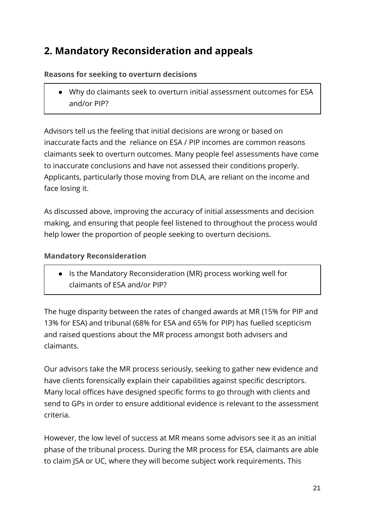# **2. Mandatory Reconsideration and appeals**

### **Reasons for seeking to overturn decisions**

● Why do claimants seek to overturn initial assessment outcomes for ESA and/or PIP?

Advisors tell us the feeling that initial decisions are wrong or based on inaccurate facts and the reliance on ESA / PIP incomes are common reasons claimants seek to overturn outcomes. Many people feel assessments have come to inaccurate conclusions and have not assessed their conditions properly. Applicants, particularly those moving from DLA, are reliant on the income and face losing it.

As discussed above, improving the accuracy of initial assessments and decision making, and ensuring that people feel listened to throughout the process would help lower the proportion of people seeking to overturn decisions.

### **Mandatory Reconsideration**

● Is the Mandatory Reconsideration (MR) process working well for claimants of ESA and/or PIP?

The huge disparity between the rates of changed awards at MR (15% for PIP and 13% for ESA) and tribunal (68% for ESA and 65% for PIP) has fuelled scepticism and raised questions about the MR process amongst both advisers and claimants.

Our advisors take the MR process seriously, seeking to gather new evidence and have clients forensically explain their capabilities against specific descriptors. Many local offices have designed specific forms to go through with clients and send to GPs in order to ensure additional evidence is relevant to the assessment criteria.

However, the low level of success at MR means some advisors see it as an initial phase of the tribunal process. During the MR process for ESA, claimants are able to claim JSA or UC, where they will become subject work requirements. This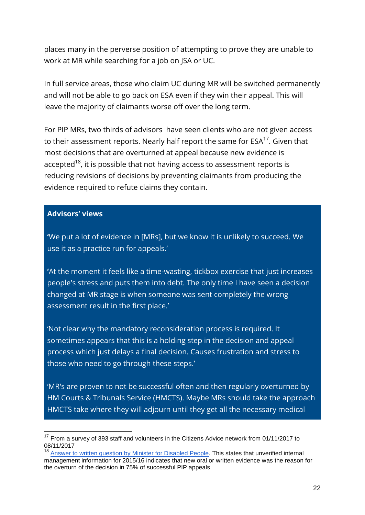places many in the perverse position of attempting to prove they are unable to work at MR while searching for a job on JSA or UC.

In full service areas, those who claim UC during MR will be switched permanently and will not be able to go back on ESA even if they win their appeal. This will leave the majority of claimants worse off over the long term.

For PIP MRs, two thirds of advisors have seen clients who are not given access to their assessment reports. Nearly half report the same for ESA<sup>17</sup>. Given that most decisions that are overturned at appeal because new evidence is accepted<sup>18</sup>, it is possible that not having access to assessment reports is reducing revisions of decisions by preventing claimants from producing the evidence required to refute claims they contain.

### **Advisors' views**

-

**'**We put a lot of evidence in [MRs], but we know it is unlikely to succeed. We use it as a practice run for appeals.'

**'**At the moment it feels like a time-wasting, tickbox exercise that just increases people's stress and puts them into debt. The only time I have seen a decision changed at MR stage is when someone was sent completely the wrong assessment result in the first place.'

'Not clear why the mandatory reconsideration process is required. It sometimes appears that this is a holding step in the decision and appeal process which just delays a final decision. Causes frustration and stress to those who need to go through these steps.'

'MR's are proven to not be successful often and then regularly overturned by HM Courts & Tribunals Service (HMCTS). Maybe MRs should take the approach HMCTS take where they will adjourn until they get all the necessary medical

<sup>&</sup>lt;sup>17</sup> From a survey of 393 staff and volunteers in the Citizens Advice network from 01/11/2017 to 08/11/2017

<sup>&</sup>lt;sup>18</sup> [Answer to written question by Minister for Disabled People.](https://www.theyworkforyou.com/wrans/?id=2016%C2%AD04%C2%AD22.35165.h&s=speaker%3A25326#g35165.q0) This states that unverified internal management information for 2015/16 indicates that new oral or written evidence was the reason for the overturn of the decision in 75% of successful PIP appeals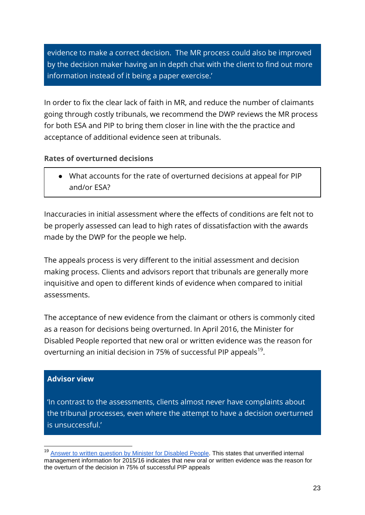evidence to make a correct decision. The MR process could also be improved by the decision maker having an in depth chat with the client to find out more information instead of it being a paper exercise.'

In order to fix the clear lack of faith in MR, and reduce the number of claimants going through costly tribunals, we recommend the DWP reviews the MR process for both ESA and PIP to bring them closer in line with the the practice and acceptance of additional evidence seen at tribunals.

### **Rates of overturned decisions**

● What accounts for the rate of overturned decisions at appeal for PIP and/or ESA?

Inaccuracies in initial assessment where the effects of conditions are felt not to be properly assessed can lead to high rates of dissatisfaction with the awards made by the DWP for the people we help.

The appeals process is very different to the initial assessment and decision making process. Clients and advisors report that tribunals are generally more inquisitive and open to different kinds of evidence when compared to initial assessments.

The acceptance of new evidence from the claimant or others is commonly cited as a reason for decisions being overturned. In April 2016, the Minister for Disabled People reported that new oral or written evidence was the reason for overturning an initial decision in 75% of successful PIP appeals<sup>19</sup>.

### **Advisor view**

-

'In contrast to the assessments, clients almost never have complaints about the tribunal processes, even where the attempt to have a decision overturned is unsuccessful.'

<sup>&</sup>lt;sup>19</sup> [Answer to written question by Minister for Disabled](https://www.theyworkforyou.com/wrans/?id=2016%C2%AD04%C2%AD22.35165.h&s=speaker%3A25326#g35165.q0) People. This states that unverified internal management information for 2015/16 indicates that new oral or written evidence was the reason for the overturn of the decision in 75% of successful PIP appeals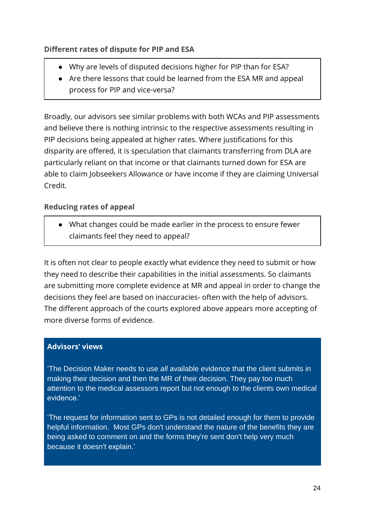### **Different rates of dispute for PIP and ESA**

- Why are levels of disputed decisions higher for PIP than for ESA?
- Are there lessons that could be learned from the ESA MR and appeal process for PIP and vice-versa?

Broadly, our advisors see similar problems with both WCAs and PIP assessments and believe there is nothing intrinsic to the respective assessments resulting in PIP decisions being appealed at higher rates. Where justifications for this disparity are offered, it is speculation that claimants transferring from DLA are particularly reliant on that income or that claimants turned down for ESA are able to claim Jobseekers Allowance or have income if they are claiming Universal Credit.

### **Reducing rates of appeal**

● What changes could be made earlier in the process to ensure fewer claimants feel they need to appeal?

It is often not clear to people exactly what evidence they need to submit or how they need to describe their capabilities in the initial assessments. So claimants are submitting more complete evidence at MR and appeal in order to change the decisions they feel are based on inaccuracies- often with the help of advisors. The different approach of the courts explored above appears more accepting of more diverse forms of evidence.

### **Advisors' views**

'The Decision Maker needs to use *all* available evidence that the client submits in making their decision and then the MR of their decision. They pay too much attention to the medical assessors report but not enough to the clients own medical evidence.'

'The request for information sent to GPs is not detailed enough for them to provide helpful information. Most GPs don't understand the nature of the benefits they are being asked to comment on and the forms they're sent don't help very much because it doesn't explain.'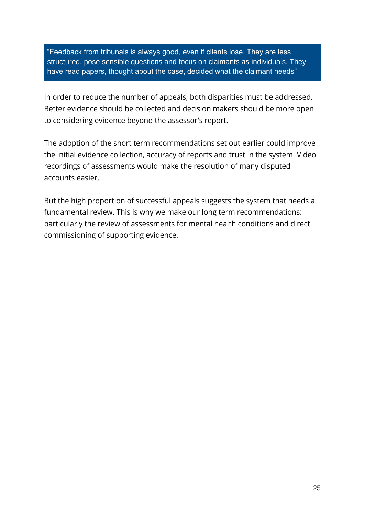"Feedback from tribunals is always good, even if clients lose. They are less structured, pose sensible questions and focus on claimants as individuals. They have read papers, thought about the case, decided what the claimant needs"

In order to reduce the number of appeals, both disparities must be addressed. Better evidence should be collected and decision makers should be more open to considering evidence beyond the assessor's report.

The adoption of the short term recommendations set out earlier could improve the initial evidence collection, accuracy of reports and trust in the system. Video recordings of assessments would make the resolution of many disputed accounts easier.

But the high proportion of successful appeals suggests the system that needs a fundamental review. This is why we make our long term recommendations: particularly the review of assessments for mental health conditions and direct commissioning of supporting evidence.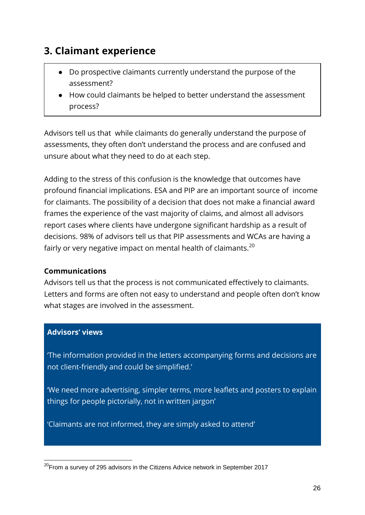# **3. Claimant experience**

- Do prospective claimants currently understand the purpose of the assessment?
- How could claimants be helped to better understand the assessment process?

Advisors tell us that while claimants do generally understand the purpose of assessments, they often don't understand the process and are confused and unsure about what they need to do at each step.

Adding to the stress of this confusion is the knowledge that outcomes have profound financial implications. ESA and PIP are an important source of income for claimants. The possibility of a decision that does not make a financial award frames the experience of the vast majority of claims, and almost all advisors report cases where clients have undergone significant hardship as a result of decisions. 98% of advisors tell us that PIP assessments and WCAs are having a fairly or very negative impact on mental health of claimants.<sup>20</sup>

### **Communications**

Advisors tell us that the process is not communicated effectively to claimants. Letters and forms are often not easy to understand and people often don't know what stages are involved in the assessment.

### **Advisors' views**

'The information provided in the letters accompanying forms and decisions are not client-friendly and could be simplified.'

'We need more advertising, simpler terms, more leaflets and posters to explain things for people pictorially, not in written jargon'

'Claimants are not informed, they are simply asked to attend'

<sup>-</sup> $20$ From a survey of 295 advisors in the Citizens Advice network in September 2017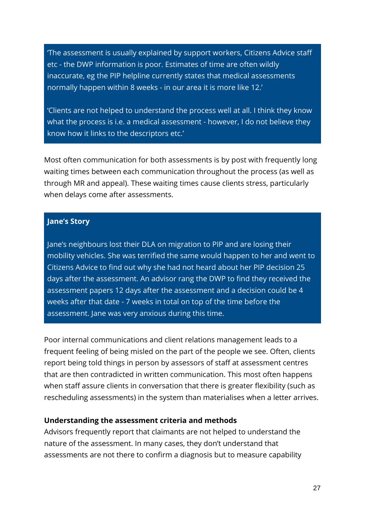'The assessment is usually explained by support workers, Citizens Advice staff etc - the DWP information is poor. Estimates of time are often wildly inaccurate, eg the PIP helpline currently states that medical assessments normally happen within 8 weeks - in our area it is more like 12.'

'Clients are not helped to understand the process well at all. I think they know what the process is i.e. a medical assessment - however, I do not believe they know how it links to the descriptors etc.'

Most often communication for both assessments is by post with frequently long waiting times between each communication throughout the process (as well as through MR and appeal). These waiting times cause clients stress, particularly when delays come after assessments.

#### **Jane's Story**

Jane's neighbours lost their DLA on migration to PIP and are losing their mobility vehicles. She was terrified the same would happen to her and went to Citizens Advice to find out why she had not heard about her PIP decision 25 days after the assessment. An advisor rang the DWP to find they received the assessment papers 12 days after the assessment and a decision could be 4 weeks after that date - 7 weeks in total on top of the time before the assessment. Jane was very anxious during this time.

Poor internal communications and client relations management leads to a frequent feeling of being misled on the part of the people we see. Often, clients report being told things in person by assessors of staff at assessment centres that are then contradicted in written communication. This most often happens when staff assure clients in conversation that there is greater flexibility (such as rescheduling assessments) in the system than materialises when a letter arrives.

#### **Understanding the assessment criteria and methods**

Advisors frequently report that claimants are not helped to understand the nature of the assessment. In many cases, they don't understand that assessments are not there to confirm a diagnosis but to measure capability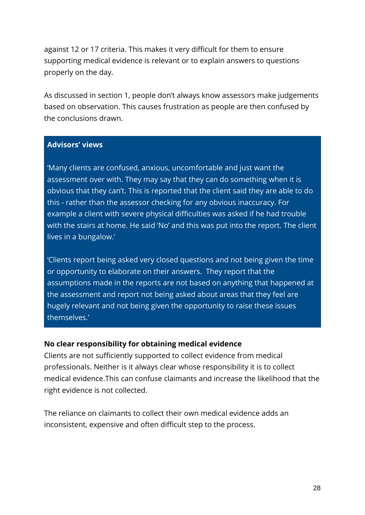against 12 or 17 criteria. This makes it very difficult for them to ensure supporting medical evidence is relevant or to explain answers to questions properly on the day.

As discussed in section 1, people don't always know assessors make judgements based on observation. This causes frustration as people are then confused by the conclusions drawn.

### **Advisors' views**

'Many clients are confused, anxious, uncomfortable and just want the assessment over with. They may say that they can do something when it is obvious that they can't. This is reported that the client said they are able to do this - rather than the assessor checking for any obvious inaccuracy. For example a client with severe physical difficulties was asked if he had trouble with the stairs at home. He said 'No' and this was put into the report. The client lives in a bungalow.'

'Clients report being asked very closed questions and not being given the time or opportunity to elaborate on their answers. They report that the assumptions made in the reports are not based on anything that happened at the assessment and report not being asked about areas that they feel are hugely relevant and not being given the opportunity to raise these issues themselves.'

#### **No clear responsibility for obtaining medical evidence**

Clients are not sufficiently supported to collect evidence from medical professionals. Neither is it always clear whose responsibility it is to collect medical evidence.This can confuse claimants and increase the likelihood that the right evidence is not collected.

The reliance on claimants to collect their own medical evidence adds an inconsistent, expensive and often difficult step to the process.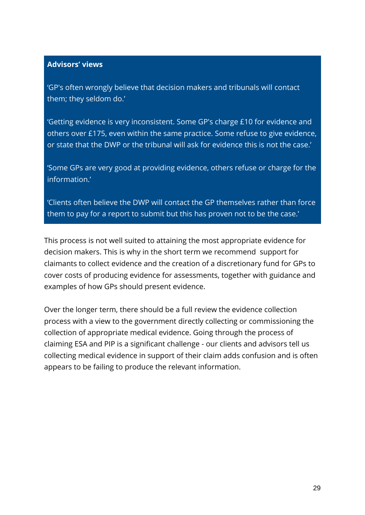### **Advisors' views**

'GP's often wrongly believe that decision makers and tribunals will contact them; they seldom do.'

'Getting evidence is very inconsistent. Some GP's charge £10 for evidence and others over £175, even within the same practice. Some refuse to give evidence, or state that the DWP or the tribunal will ask for evidence this is not the case.'

'Some GPs are very good at providing evidence, others refuse or charge for the information.'

'Clients often believe the DWP will contact the GP themselves rather than force them to pay for a report to submit but this has proven not to be the case.'

This process is not well suited to attaining the most appropriate evidence for decision makers. This is why in the short term we recommend support for claimants to collect evidence and the creation of a discretionary fund for GPs to cover costs of producing evidence for assessments, together with guidance and examples of how GPs should present evidence.

Over the longer term, there should be a full review the evidence collection process with a view to the government directly collecting or commissioning the collection of appropriate medical evidence. Going through the process of claiming ESA and PIP is a significant challenge - our clients and advisors tell us collecting medical evidence in support of their claim adds confusion and is often appears to be failing to produce the relevant information.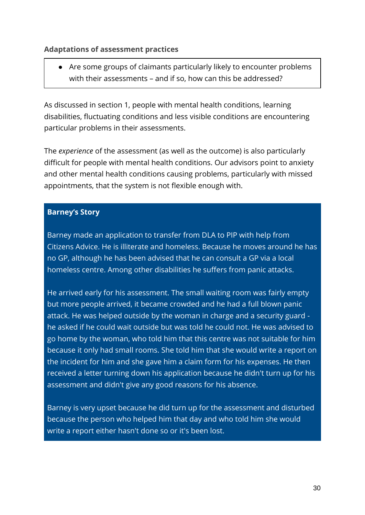### **Adaptations of assessment practices**

● Are some groups of claimants particularly likely to encounter problems with their assessments – and if so, how can this be addressed?

As discussed in section 1, people with mental health conditions, learning disabilities, fluctuating conditions and less visible conditions are encountering particular problems in their assessments.

The *experience* of the assessment (as well as the outcome) is also particularly difficult for people with mental health conditions. Our advisors point to anxiety and other mental health conditions causing problems, particularly with missed appointments, that the system is not flexible enough with.

### **Barney's Story**

Barney made an application to transfer from DLA to PIP with help from Citizens Advice. He is illiterate and homeless. Because he moves around he has no GP, although he has been advised that he can consult a GP via a local homeless centre. Among other disabilities he suffers from panic attacks.

He arrived early for his assessment. The small waiting room was fairly empty but more people arrived, it became crowded and he had a full blown panic attack. He was helped outside by the woman in charge and a security guard he asked if he could wait outside but was told he could not. He was advised to go home by the woman, who told him that this centre was not suitable for him because it only had small rooms. She told him that she would write a report on the incident for him and she gave him a claim form for his expenses. He then received a letter turning down his application because he didn't turn up for his assessment and didn't give any good reasons for his absence.

Barney is very upset because he did turn up for the assessment and disturbed because the person who helped him that day and who told him she would write a report either hasn't done so or it's been lost.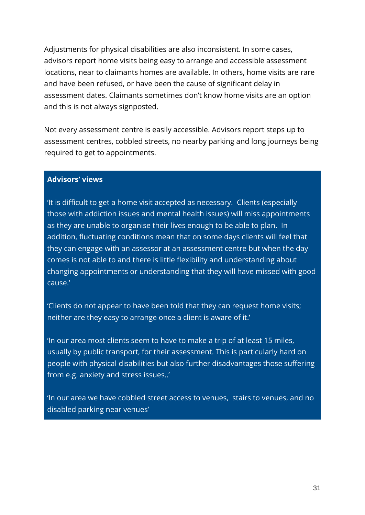Adjustments for physical disabilities are also inconsistent. In some cases, advisors report home visits being easy to arrange and accessible assessment locations, near to claimants homes are available. In others, home visits are rare and have been refused, or have been the cause of significant delay in assessment dates. Claimants sometimes don't know home visits are an option and this is not always signposted.

Not every assessment centre is easily accessible. Advisors report steps up to assessment centres, cobbled streets, no nearby parking and long journeys being required to get to appointments.

### **Advisors' views**

'It is difficult to get a home visit accepted as necessary. Clients (especially those with addiction issues and mental health issues) will miss appointments as they are unable to organise their lives enough to be able to plan. In addition, fluctuating conditions mean that on some days clients will feel that they can engage with an assessor at an assessment centre but when the day comes is not able to and there is little flexibility and understanding about changing appointments or understanding that they will have missed with good cause.'

'Clients do not appear to have been told that they can request home visits; neither are they easy to arrange once a client is aware of it.'

'In our area most clients seem to have to make a trip of at least 15 miles, usually by public transport, for their assessment. This is particularly hard on people with physical disabilities but also further disadvantages those suffering from e.g. anxiety and stress issues..'

'In our area we have cobbled street access to venues, stairs to venues, and no disabled parking near venues'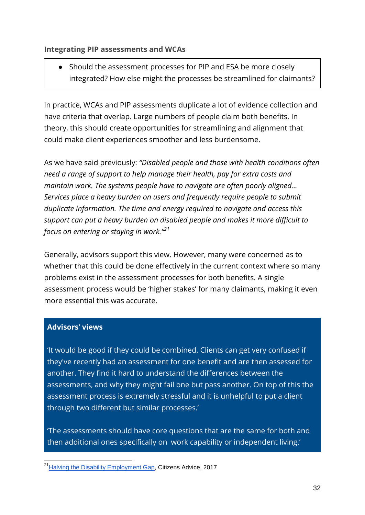### **Integrating PIP assessments and WCAs**

● Should the assessment processes for PIP and ESA be more closely integrated? How else might the processes be streamlined for claimants?

In practice, WCAs and PIP assessments duplicate a lot of evidence collection and have criteria that overlap. Large numbers of people claim both benefits. In theory, this should create opportunities for streamlining and alignment that could make client experiences smoother and less burdensome.

As we have said previously: *"Disabled people and those with health conditions often need a range of support to help manage their health, pay for extra costs and maintain work. The systems people have to navigate are often poorly aligned... Services place a heavy burden on users and frequently require people to submit duplicate information. The time and energy required to navigate and access this support can put a heavy burden on disabled people and makes it more difficult to focus on entering or staying in work."<sup>21</sup>*

Generally, advisors support this view. However, many were concerned as to whether that this could be done effectively in the current context where so many problems exist in the assessment processes for both benefits. A single assessment process would be 'higher stakes' for many claimants, making it even more essential this was accurate.

### **Advisors' views**

-

'It would be good if they could be combined. Clients can get very confused if they've recently had an assessment for one benefit and are then assessed for another. They find it hard to understand the differences between the assessments, and why they might fail one but pass another. On top of this the assessment process is extremely stressful and it is unhelpful to put a client through two different but similar processes.'

'The assessments should have core questions that are the same for both and then additional ones specifically on work capability or independent living.'

<sup>&</sup>lt;sup>21</sup> [Halving the Disability Employment Gap,](https://www.citizensadvice.org.uk/Global/CitizensAdvice/Families%20Publications/CitizensAdviceGreenPaper.pdf) Citizens Advice, 2017